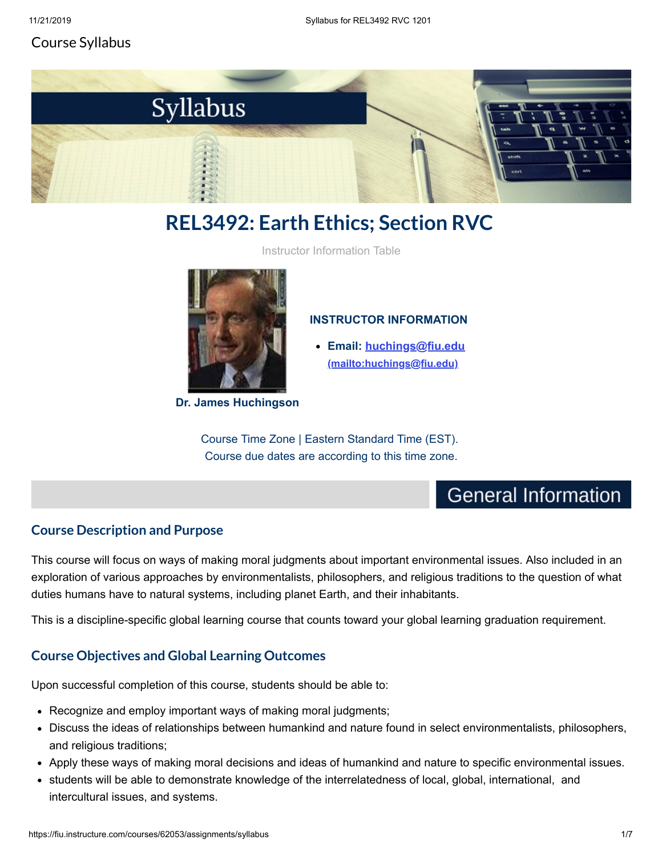### Course Syllabus



# **REL3492: Earth Ethics; Section RVC**

Instructor Information Table



**Dr. James Huchingson**

#### **INSTRUCTOR INFORMATION**

**[Email: huchings@fiu.edu](mailto:huchings@fiu.edu) (mailto:huchings@fiu.edu)**

Course Time Zone | Eastern Standard Time (EST). Course due dates are according to this time zone.

## **General Information**

### **Course Description and Purpose**

This course will focus on ways of making moral judgments about important environmental issues. Also included in an exploration of various approaches by environmentalists, philosophers, and religious traditions to the question of what duties humans have to natural systems, including planet Earth, and their inhabitants.

This is a discipline-specific global learning course that counts toward your global learning graduation requirement.

### **Course Objectives and Global Learning Outcomes**

Upon successful completion of this course, students should be able to:

- Recognize and employ important ways of making moral judgments;
- Discuss the ideas of relationships between humankind and nature found in select environmentalists, philosophers, and religious traditions;
- Apply these ways of making moral decisions and ideas of humankind and nature to specific environmental issues.
- students will be able to demonstrate knowledge of the interrelatedness of local, global, international, and intercultural issues, and systems.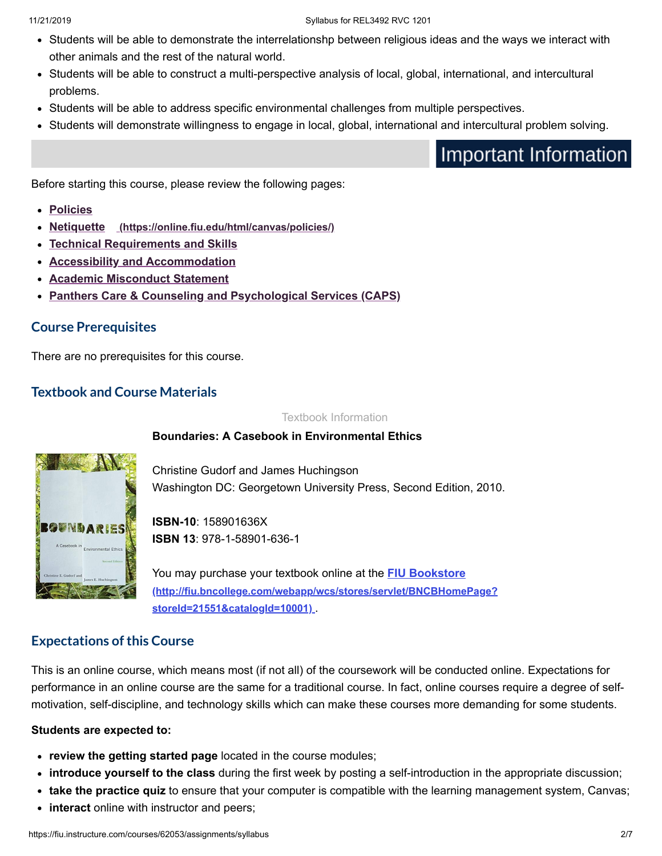- Students will be able to demonstrate the interrelationshp between religious ideas and the ways we interact with other animals and the rest of the natural world.
- Students will be able to construct a multi-perspective analysis of local, global, international, and intercultural problems.
- Students will be able to address specific environmental challenges from multiple perspectives.
- Students will demonstrate willingness to engage in local, global, international and intercultural problem solving.

Important Information

Before starting this course, please review the following pages:

- **[Policies](https://fiu.instructure.com/courses/62053/pages/policies)**
- **Netiquette [\(https://online.fiu.edu/html/canvas/policies/\)](https://online.fiu.edu/html/canvas/policies/)**
- **[Technical Requirements and Skills](https://fiu.instructure.com/courses/62053/pages/rel3492-technical-requirements-and-skills)**
- **[Accessibility and Accommodation](https://fiu.instructure.com/courses/62053/pages/accessibility-and-accommodation)**
- **[Academic Misconduct Statement](https://fiu.instructure.com/courses/62053/pages/academic-misconduct-statement)**
- **[Panthers Care & Counseling and Psychological Services \(CAPS\)](https://fiu.instructure.com/courses/62053/pages/panthers-care-and-counseling-and-psychological-services-caps)**

#### **Course Prerequisites**

There are no prerequisites for this course.

### **Textbook and Course Materials**

Textbook Information

#### **Boundaries: A Casebook in Environmental Ethics**



Christine Gudorf and James Huchingson Washington DC: Georgetown University Press, Second Edition, 2010.

**ISBN-10**: 158901636X **ISBN 13**: 978-1-58901-636-1

You may purchase your textbook online at the **FIU Bookstore [\(http://fiu.bncollege.com/webapp/wcs/stores/servlet/BNCBHomePage?](http://fiu.bncollege.com/webapp/wcs/stores/servlet/BNCBHomePage?storeId=21551&catalogId=10001) storeId=21551&catalogId=10001)** .

#### **Expectations of this Course**

This is an online course, which means most (if not all) of the coursework will be conducted online. Expectations for performance in an online course are the same for a traditional course. In fact, online courses require a degree of selfmotivation, self-discipline, and technology skills which can make these courses more demanding for some students.

#### **Students are expected to:**

- **review the getting started page** located in the course modules;
- **introduce yourself to the class** during the first week by posting a self-introduction in the appropriate discussion;
- **take the practice quiz** to ensure that your computer is compatible with the learning management system, Canvas;
- **interact** online with instructor and peers;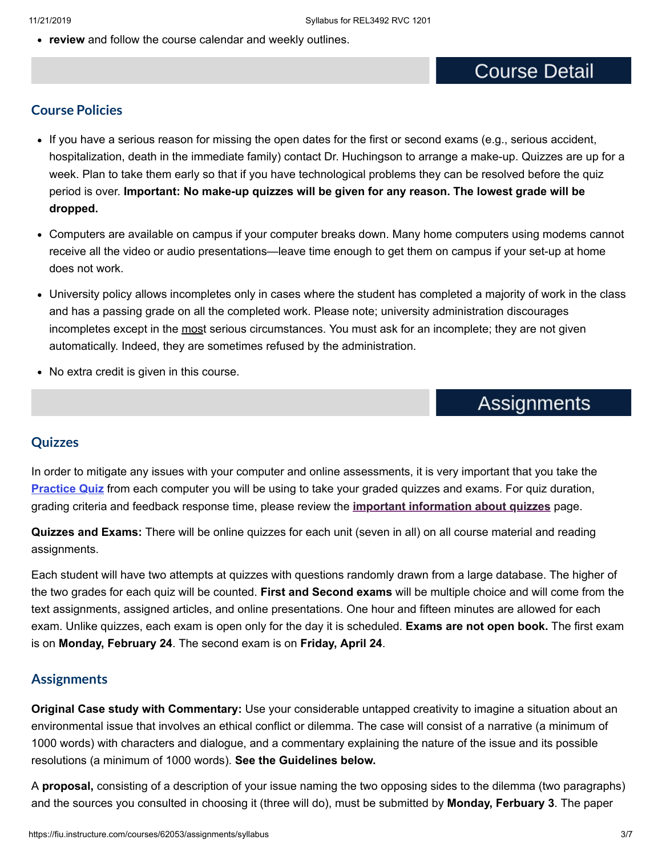**review** and follow the course calendar and weekly outlines.

## **Course Detail**

#### **Course Policies**

- If you have a serious reason for missing the open dates for the first or second exams (e.g., serious accident, hospitalization, death in the immediate family) contact Dr. Huchingson to arrange a make-up. Quizzes are up for a week. Plan to take them early so that if you have technological problems they can be resolved before the quiz period is over. **Important: No make-up quizzes will be given for any reason. The lowest grade will be dropped.**
- Computers are available on campus if your computer breaks down. Many home computers using modems cannot receive all the video or audio presentations—leave time enough to get them on campus if your set-up at home does not work.
- University policy allows incompletes only in cases where the student has completed a majority of work in the class and has a passing grade on all the completed work. Please note; university administration discourages incompletes except in the most serious circumstances. You must ask for an incomplete; they are not given automatically. Indeed, they are sometimes refused by the administration.
- No extra credit is given in this course.

## **Assignments**

#### **Quizzes**

In order to mitigate any issues with your computer and online assessments, it is very important that you take the **[Practice Quiz](https://fiu.instructure.com/courses/62053/quizzes/297750)** from each computer you will be using to take your graded quizzes and exams. For quiz duration, grading criteria and feedback response time, please review the **[important information about quizzes](https://fiu.instructure.com/courses/62053/pages/important-information-about-quizzes)** page.

**Quizzes and Exams:** There will be online quizzes for each unit (seven in all) on all course material and reading assignments.

Each student will have two attempts at quizzes with questions randomly drawn from a large database. The higher of the two grades for each quiz will be counted. **First and Second exams** will be multiple choice and will come from the text assignments, assigned articles, and online presentations. One hour and fifteen minutes are allowed for each exam. Unlike quizzes, each exam is open only for the day it is scheduled. **Exams are not open book.** The first exam is on **Monday, February 24**. The second exam is on **Friday, April 24**.

#### **Assignments**

**Original Case study with Commentary:** Use your considerable untapped creativity to imagine a situation about an environmental issue that involves an ethical conflict or dilemma. The case will consist of a narrative (a minimum of 1000 words) with characters and dialogue, and a commentary explaining the nature of the issue and its possible resolutions (a minimum of 1000 words). **See the Guidelines below.**

A **proposal,** consisting of a description of your issue naming the two opposing sides to the dilemma (two paragraphs) and the sources you consulted in choosing it (three will do), must be submitted by **Monday, Ferbuary 3**. The paper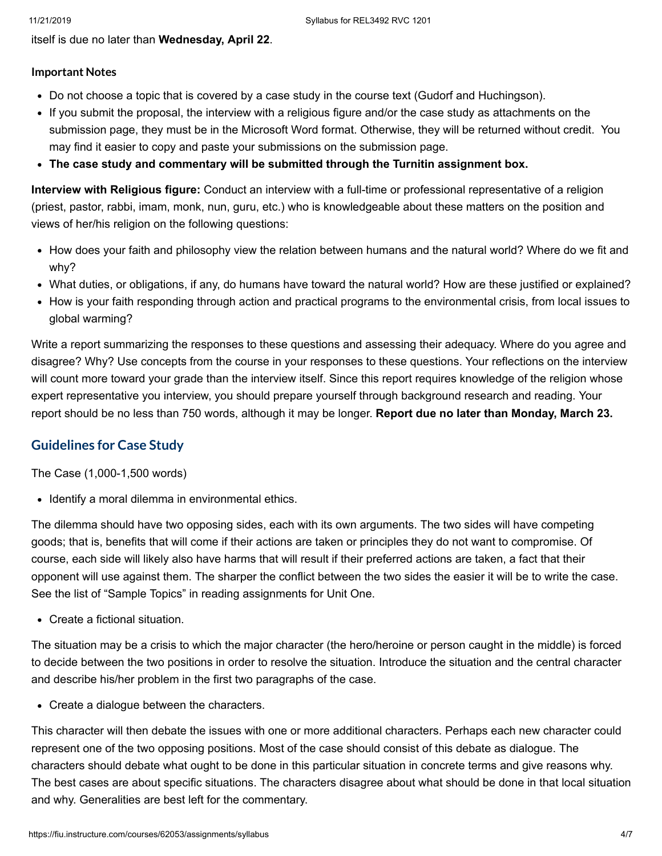itself is due no later than **Wednesday, April 22**.

#### **Important Notes**

- Do not choose a topic that is covered by a case study in the course text (Gudorf and Huchingson).
- If you submit the proposal, the interview with a religious figure and/or the case study as attachments on the submission page, they must be in the Microsoft Word format. Otherwise, they will be returned without credit. You may find it easier to copy and paste your submissions on the submission page.
- **The case study and commentary will be submitted through the Turnitin assignment box.**

**Interview with Religious figure:** Conduct an interview with a full-time or professional representative of a religion (priest, pastor, rabbi, imam, monk, nun, guru, etc.) who is knowledgeable about these matters on the position and views of her/his religion on the following questions:

- How does your faith and philosophy view the relation between humans and the natural world? Where do we fit and why?
- What duties, or obligations, if any, do humans have toward the natural world? How are these justified or explained?
- How is your faith responding through action and practical programs to the environmental crisis, from local issues to global warming?

Write a report summarizing the responses to these questions and assessing their adequacy. Where do you agree and disagree? Why? Use concepts from the course in your responses to these questions. Your reflections on the interview will count more toward your grade than the interview itself. Since this report requires knowledge of the religion whose expert representative you interview, you should prepare yourself through background research and reading. Your report should be no less than 750 words, although it may be longer. **Report due no later than Monday, March 23.**

### **Guidelines for Case Study**

The Case (1,000-1,500 words)

• Identify a moral dilemma in environmental ethics.

The dilemma should have two opposing sides, each with its own arguments. The two sides will have competing goods; that is, benefits that will come if their actions are taken or principles they do not want to compromise. Of course, each side will likely also have harms that will result if their preferred actions are taken, a fact that their opponent will use against them. The sharper the conflict between the two sides the easier it will be to write the case. See the list of "Sample Topics" in reading assignments for Unit One.

Create a fictional situation.

The situation may be a crisis to which the major character (the hero/heroine or person caught in the middle) is forced to decide between the two positions in order to resolve the situation. Introduce the situation and the central character and describe his/her problem in the first two paragraphs of the case.

Create a dialogue between the characters.

This character will then debate the issues with one or more additional characters. Perhaps each new character could represent one of the two opposing positions. Most of the case should consist of this debate as dialogue. The characters should debate what ought to be done in this particular situation in concrete terms and give reasons why. The best cases are about specific situations. The characters disagree about what should be done in that local situation and why. Generalities are best left for the commentary.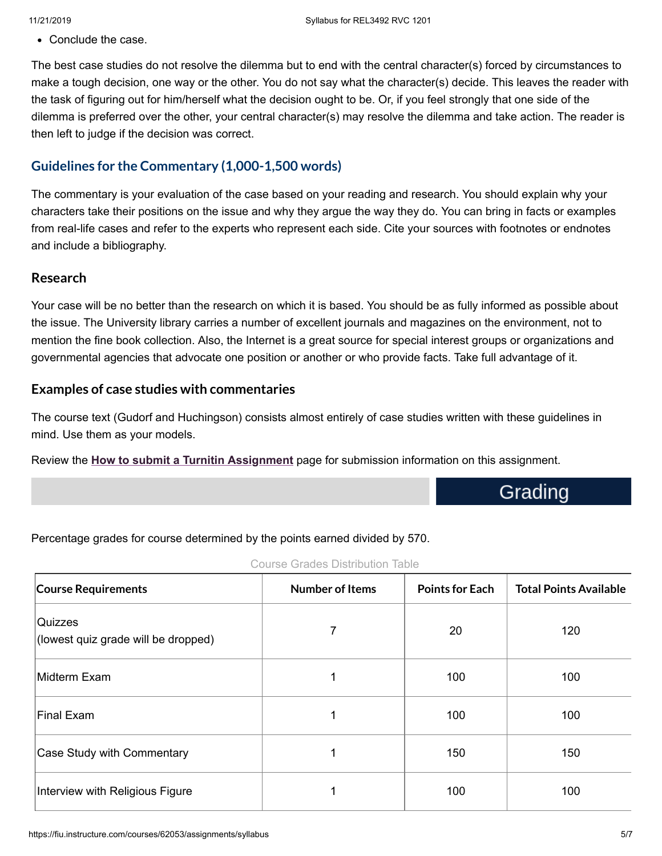Conclude the case.

The best case studies do not resolve the dilemma but to end with the central character(s) forced by circumstances to make a tough decision, one way or the other. You do not say what the character(s) decide. This leaves the reader with the task of figuring out for him/herself what the decision ought to be. Or, if you feel strongly that one side of the dilemma is preferred over the other, your central character(s) may resolve the dilemma and take action. The reader is then left to judge if the decision was correct.

### **Guidelines for the Commentary (1,000-1,500 words)**

The commentary is your evaluation of the case based on your reading and research. You should explain why your characters take their positions on the issue and why they argue the way they do. You can bring in facts or examples from real-life cases and refer to the experts who represent each side. Cite your sources with footnotes or endnotes and include a bibliography.

#### **Research**

Your case will be no better than the research on which it is based. You should be as fully informed as possible about the issue. The University library carries a number of excellent journals and magazines on the environment, not to mention the fine book collection. Also, the Internet is a great source for special interest groups or organizations and governmental agencies that advocate one position or another or who provide facts. Take full advantage of it.

#### **Examples of case studies with commentaries**

The course text (Gudorf and Huchingson) consists almost entirely of case studies written with these guidelines in mind. Use them as your models.

Review the **[How to submit a Turnitin Assignment](https://fiu.instructure.com/courses/62053/pages/how-to-submit-a-turnitin-assignment)** page for submission information on this assignment.

Grading

Percentage grades for course determined by the points earned divided by 570.

| <b>Course Requirements</b>                     | <b>Number of Items</b> | <b>Points for Each</b> | <b>Total Points Available</b> |  |  |
|------------------------------------------------|------------------------|------------------------|-------------------------------|--|--|
| Quizzes<br>(lowest quiz grade will be dropped) | 7                      | 20                     | 120                           |  |  |
| Midterm Exam                                   | 1                      | 100                    | 100                           |  |  |
| Final Exam                                     | ◢                      | 100                    | 100                           |  |  |
| Case Study with Commentary                     | 4                      | 150                    | 150                           |  |  |
| Interview with Religious Figure                | 4                      | 100                    | 100                           |  |  |

Course Grades Distribution Table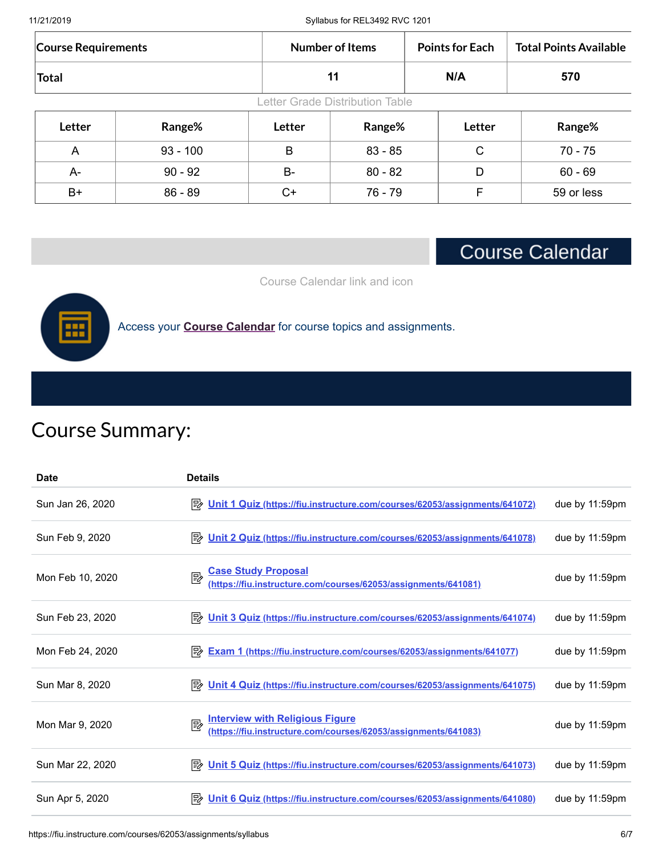| 11/21/2019 |  |
|------------|--|
|            |  |

Syllabus for REL3492 RVC 1201

| <b>Course Requirements</b>      |            |           | <b>Number of Items</b> |  | <b>Points for Each</b> | <b>Total Points Available</b> |
|---------------------------------|------------|-----------|------------------------|--|------------------------|-------------------------------|
| <b>Total</b>                    |            |           | 11                     |  | N/A                    | 570                           |
| Letter Grade Distribution Table |            |           |                        |  |                        |                               |
| Letter                          | Range%     | Letter    | Range%                 |  | Letter                 | Range%                        |
| A                               | $93 - 100$ | B         | $83 - 85$              |  | C                      | $70 - 75$                     |
| A-                              | $90 - 92$  | <b>B-</b> | $80 - 82$              |  | D                      | $60 - 69$                     |
| B+                              | $86 - 89$  | C+        | 76 - 79                |  | F                      | 59 or less                    |

## **Course Calendar**

Course Calendar link and icon



Access your **[Course Calendar](https://fiu.instructure.com/courses/62053/pages/course-calendar-page)** for course topics and assignments.

# Course Summary:

| <b>Date</b>      | <b>Details</b>                                                                                                |                   |
|------------------|---------------------------------------------------------------------------------------------------------------|-------------------|
| Sun Jan 26, 2020 | P Unit 1 Quiz (https://fiu.instructure.com/courses/62053/assignments/641072)                                  | due by 11:59pm    |
| Sun Feb 9, 2020  | P Unit 2 Quiz (https://fiu.instructure.com/courses/62053/assignments/641078)                                  | due by 11:59pm    |
| Mon Feb 10, 2020 | <b>Case Study Proposal</b><br>國<br>(https://fiu.instructure.com/courses/62053/assignments/641081)             | due by $11:59$ pm |
| Sun Feb 23, 2020 | <b>E</b> Unit 3 Quiz (https://fiu.instructure.com/courses/62053/assignments/641074)                           | due by $11:59$ pm |
| Mon Feb 24, 2020 | Exam 1 (https://fiu.instructure.com/courses/62053/assignments/641077)                                         | due by $11:59$ pm |
| Sun Mar 8, 2020  | Unit 4 Quiz (https://fiu.instructure.com/courses/62053/assignments/641075)<br>眇                               | due by 11:59pm    |
| Mon Mar 9, 2020  | <b>Interview with Religious Figure</b><br>國<br>(https://fiu.instructure.com/courses/62053/assignments/641083) | due by 11:59pm    |
| Sun Mar 22, 2020 | P Unit 5 Quiz (https://fiu.instructure.com/courses/62053/assignments/641073)                                  | due by 11:59pm    |
| Sun Apr 5, 2020  | Unit 6 Quiz (https://fiu.instructure.com/courses/62053/assignments/641080)<br>眇                               | due by $11:59$ pm |